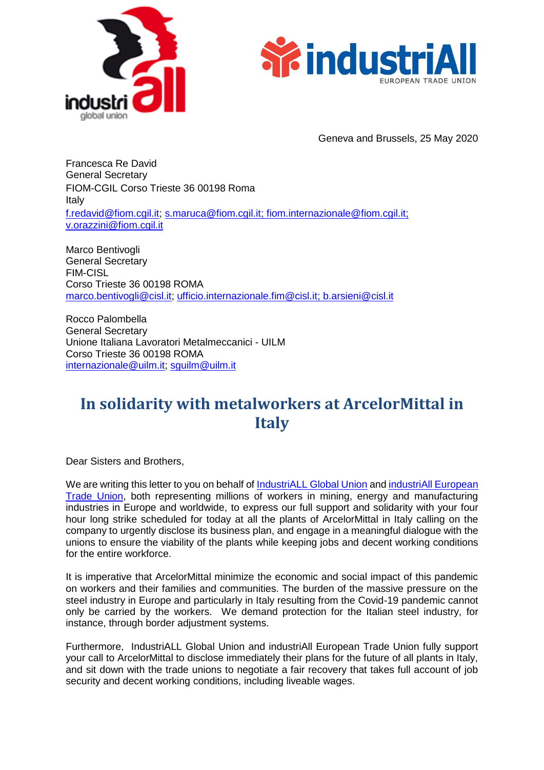



Geneva and Brussels, 25 May 2020

Francesca Re David General Secretary FIOM-CGIL Corso Trieste 36 00198 Roma Italy [f.redavid@fiom.cgil.it;](mailto:f.redavid@fiom.cgil.it) [s.maruca@fiom.cgil.it; fiom.internazionale@fiom.cgil.it;](mailto:s.maruca@fiom.cgil.it) [v.orazzini@fiom.cgil.it](mailto:v.orazzini@fiom.cgil.it)

Marco Bentivogli General Secretary FIM-CISL Corso Trieste 36 00198 ROMA [marco.bentivogli@cisl.it;](mailto:marco.bentivogli@cisl.it) [ufficio.internazionale.fim@cisl.it;](mailto:ufficio.internazionale.fim@cisl.it) [b.arsieni@cisl.it](mailto:b.arsieni@cisl.it)

Rocco Palombella General Secretary Unione Italiana Lavoratori Metalmeccanici - UILM Corso Trieste 36 00198 ROMA [internazionale@uilm.it;](mailto:internazionale@uilm.it) [sguilm@uilm.it](mailto:sguilm@uilm.it)

## **In solidarity with metalworkers at ArcelorMittal in Italy**

Dear Sisters and Brothers,

We are writing this letter to you on behalf of [IndustriALL Global Union](http://www.industriall-union.org/) and industriAll European [Trade Union,](http://www.industriall-europe.eu/) both representing millions of workers in mining, energy and manufacturing industries in Europe and worldwide, to express our full support and solidarity with your four hour long strike scheduled for today at all the plants of ArcelorMittal in Italy calling on the company to urgently disclose its business plan, and engage in a meaningful dialogue with the unions to ensure the viability of the plants while keeping jobs and decent working conditions for the entire workforce.

It is imperative that ArcelorMittal minimize the economic and social impact of this pandemic on workers and their families and communities. The burden of the massive pressure on the steel industry in Europe and particularly in Italy resulting from the Covid-19 pandemic cannot only be carried by the workers. We demand protection for the Italian steel industry, for instance, through border adjustment systems.

Furthermore, [IndustriALL Global Union](http://www.industriall-union.org/) and [industriAll European Trade Union](http://www.industriall-europe.eu/) fully support your call to ArcelorMittal to disclose immediately their plans for the future of all plants in Italy, and sit down with the trade unions to negotiate a fair recovery that takes full account of job security and decent working conditions, including liveable wages.